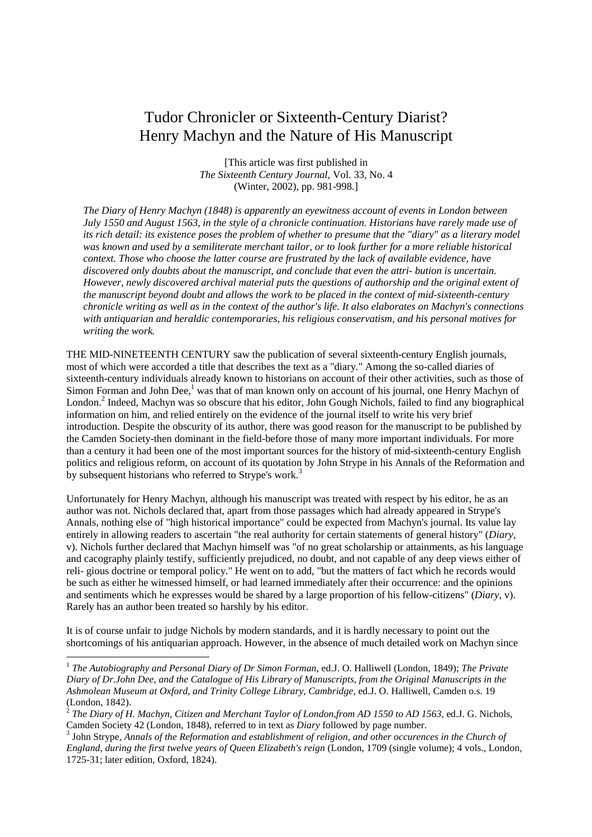## Tudor Chronicler or Sixteenth-Century Diarist? Henry Machyn and the Nature of His Manuscript

[This article was first published in *The Sixteenth Century Journal*, Vol. 33, No. 4 (Winter, 2002), pp. 981-998.]

*The Diary of Henry Machyn (1848) is apparently an eyewitness account of events in London between July 1550 and August 1563, in the style of a chronicle continuation. Historians have rarely made use of its rich detail: its existence poses the problem of whether to presume that the "diary" as a literary model was known and used by a semiliterate merchant tailor, or to look further for a more reliable historical context. Those who choose the latter course are frustrated by the lack of available evidence, have discovered only doubts about the manuscript, and conclude that even the attri- bution is uncertain. However, newly discovered archival material puts the questions of authorship and the original extent of the manuscript beyond doubt and allows the work to be placed in the context of mid-sixteenth-century chronicle writing as well as in the context of the author's life. It also elaborates on Machyn's connections with antiquarian and heraldic contemporaries, his religious conservatism, and his personal motives for writing the work.* 

THE MID-NINETEENTH CENTURY saw the publication of several sixteenth-century English journals, most of which were accorded a title that describes the text as a "diary." Among the so-called diaries of sixteenth-century individuals already known to historians on account of their other activities, such as those of Simon Forman and John Dee,<sup>1</sup> was that of man known only on account of his journal, one Henry Machyn of London.<sup>2</sup> Indeed, Machyn was so obscure that his editor, John Gough Nichols, failed to find any biographical information on him, and relied entirely on the evidence of the journal itself to write his very brief introduction. Despite the obscurity of its author, there was good reason for the manuscript to be published by the Camden Society-then dominant in the field-before those of many more important individuals. For more than a century it had been one of the most important sources for the history of mid-sixteenth-century English politics and religious reform, on account of its quotation by John Strype in his Annals of the Reformation and by subsequent historians who referred to Strype's work.<sup>3</sup>

Unfortunately for Henry Machyn, although his manuscript was treated with respect by his editor, he as an author was not. Nichols declared that, apart from those passages which had already appeared in Strype's Annals, nothing else of "high historical importance" could be expected from Machyn's journal. Its value lay entirely in allowing readers to ascertain "the real authority for certain statements of general history" (*Diary*, v). Nichols further declared that Machyn himself was "of no great scholarship or attainments, as his language and cacography plainly testify, sufficiently prejudiced, no doubt, and not capable of any deep views either of reli- gious doctrine or temporal policy." He went on to add, "but the matters of fact which he records would be such as either he witnessed himself, or had learned immediately after their occurrence: and the opinions and sentiments which he expresses would be shared by a large proportion of his fellow-citizens" (*Diary*, v). Rarely has an author been treated so harshly by his editor.

It is of course unfair to judge Nichols by modern standards, and it is hardly necessary to point out the shortcomings of his antiquarian approach. However, in the absence of much detailed work on Machyn since  $\overline{a}$ 

<sup>1</sup> *The Autobiography and Personal Diary of Dr Simon Forman*, ed.J. O. Halliwell (London, 1849); *The Private Diary of Dr.John Dee, and the Catalogue of His Library of Manuscripts, from the Original Manuscripts in the Ashmolean Museum at Oxford, and Trinity College Library, Cambridge*, ed.J. O. Halliwell, Camden o.s. 19 (London, 1842).

<sup>2</sup> *The Diary of H. Machyn, Citizen and Merchant Taylor of London,from AD 1550 to AD 1563*, ed.J. G. Nichols, Camden Society 42 (London, 1848), referred to in text as *Diary* followed by page number.

<sup>&</sup>lt;sup>3</sup> John Strype, *Annals of the Reformation and establishment of religion, and other occurences in the Church of England, during the first twelve years of Queen Elizabeth's reign* (London, 1709 (single volume); 4 vols., London, 1725-31; later edition, Oxford, 1824).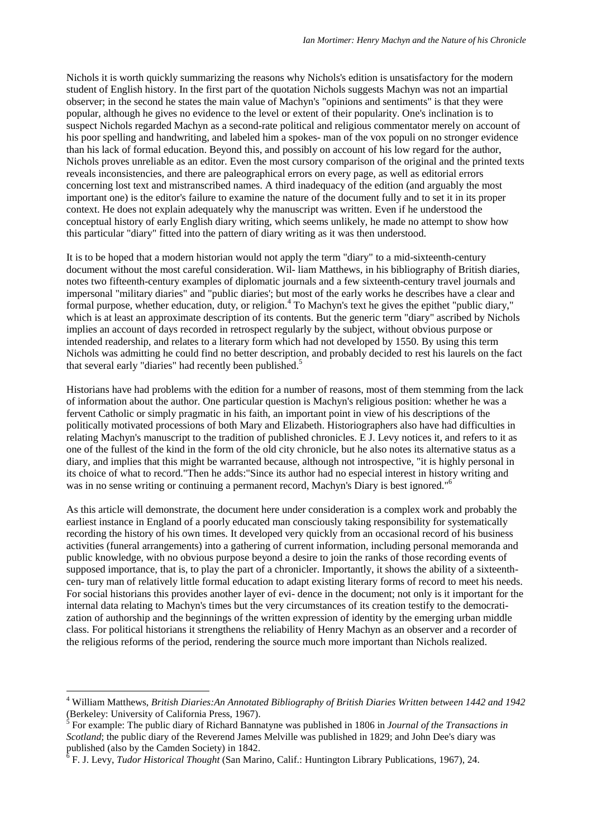Nichols it is worth quickly summarizing the reasons why Nichols's edition is unsatisfactory for the modern student of English history. In the first part of the quotation Nichols suggests Machyn was not an impartial observer; in the second he states the main value of Machyn's "opinions and sentiments" is that they were popular, although he gives no evidence to the level or extent of their popularity. One's inclination is to suspect Nichols regarded Machyn as a second-rate political and religious commentator merely on account of his poor spelling and handwriting, and labeled him a spokes- man of the vox populi on no stronger evidence than his lack of formal education. Beyond this, and possibly on account of his low regard for the author, Nichols proves unreliable as an editor. Even the most cursory comparison of the original and the printed texts reveals inconsistencies, and there are paleographical errors on every page, as well as editorial errors concerning lost text and mistranscribed names. A third inadequacy of the edition (and arguably the most important one) is the editor's failure to examine the nature of the document fully and to set it in its proper context. He does not explain adequately why the manuscript was written. Even if he understood the conceptual history of early English diary writing, which seems unlikely, he made no attempt to show how this particular "diary" fitted into the pattern of diary writing as it was then understood.

It is to be hoped that a modern historian would not apply the term "diary" to a mid-sixteenth-century document without the most careful consideration. Wil- liam Matthews, in his bibliography of British diaries, notes two fifteenth-century examples of diplomatic journals and a few sixteenth-century travel journals and impersonal "military diaries" and "public diaries'; but most of the early works he describes have a clear and formal purpose, whether education, duty, or religion. 4 To Machyn's text he gives the epithet "public diary," which is at least an approximate description of its contents. But the generic term "diary" ascribed by Nichols implies an account of days recorded in retrospect regularly by the subject, without obvious purpose or intended readership, and relates to a literary form which had not developed by 1550. By using this term Nichols was admitting he could find no better description, and probably decided to rest his laurels on the fact that several early "diaries" had recently been published.<sup>5</sup>

Historians have had problems with the edition for a number of reasons, most of them stemming from the lack of information about the author. One particular question is Machyn's religious position: whether he was a fervent Catholic or simply pragmatic in his faith, an important point in view of his descriptions of the politically motivated processions of both Mary and Elizabeth. Historiographers also have had difficulties in relating Machyn's manuscript to the tradition of published chronicles. E J. Levy notices it, and refers to it as one of the fullest of the kind in the form of the old city chronicle, but he also notes its alternative status as a diary, and implies that this might be warranted because, although not introspective, "it is highly personal in its choice of what to record."Then he adds:"Since its author had no especial interest in history writing and was in no sense writing or continuing a permanent record, Machyn's Diary is best ignored."<sup>6</sup>

As this article will demonstrate, the document here under consideration is a complex work and probably the earliest instance in England of a poorly educated man consciously taking responsibility for systematically recording the history of his own times. It developed very quickly from an occasional record of his business activities (funeral arrangements) into a gathering of current information, including personal memoranda and public knowledge, with no obvious purpose beyond a desire to join the ranks of those recording events of supposed importance, that is, to play the part of a chronicler. Importantly, it shows the ability of a sixteenthcen- tury man of relatively little formal education to adapt existing literary forms of record to meet his needs. For social historians this provides another layer of evi- dence in the document; not only is it important for the internal data relating to Machyn's times but the very circumstances of its creation testify to the democratization of authorship and the beginnings of the written expression of identity by the emerging urban middle class. For political historians it strengthens the reliability of Henry Machyn as an observer and a recorder of the religious reforms of the period, rendering the source much more important than Nichols realized.

l

<sup>4</sup> William Matthews, *British Diaries:An Annotated Bibliography of British Diaries Written between 1442 and 1942* (Berkeley: University of California Press, 1967).

<sup>5</sup> For example: The public diary of Richard Bannatyne was published in 1806 in *Journal of the Transactions in Scotland*; the public diary of the Reverend James Melville was published in 1829; and John Dee's diary was published (also by the Camden Society) in 1842.

<sup>6</sup> F. J. Levy, *Tudor Historical Thought* (San Marino, Calif.: Huntington Library Publications, 1967), 24.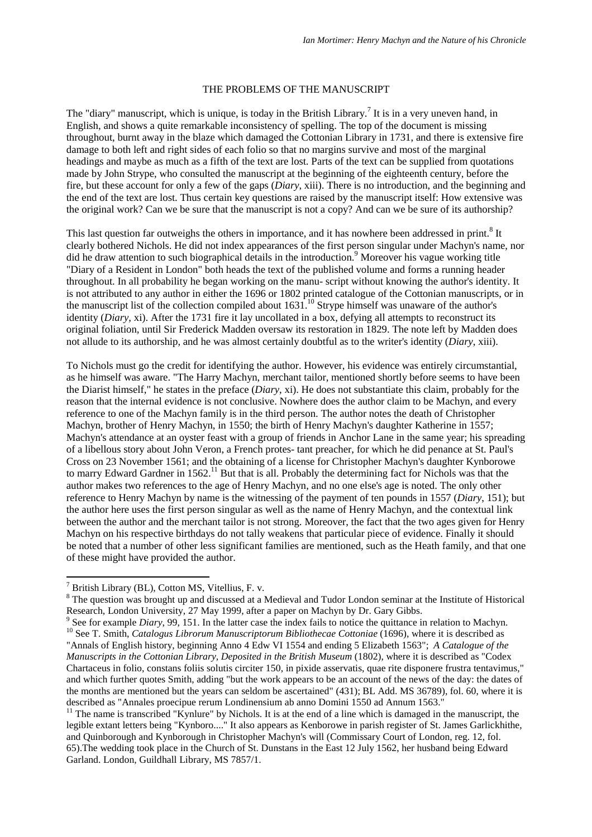## THE PROBLEMS OF THE MANUSCRIPT

The "diary" manuscript, which is unique, is today in the British Library.<sup>7</sup> It is in a very uneven hand, in English, and shows a quite remarkable inconsistency of spelling. The top of the document is missing throughout, burnt away in the blaze which damaged the Cottonian Library in 1731, and there is extensive fire damage to both left and right sides of each folio so that no margins survive and most of the marginal headings and maybe as much as a fifth of the text are lost. Parts of the text can be supplied from quotations made by John Strype, who consulted the manuscript at the beginning of the eighteenth century, before the fire, but these account for only a few of the gaps (*Diary*, xiii). There is no introduction, and the beginning and the end of the text are lost. Thus certain key questions are raised by the manuscript itself: How extensive was the original work? Can we be sure that the manuscript is not a copy? And can we be sure of its authorship?

This last question far outweighs the others in importance, and it has nowhere been addressed in print.<sup>8</sup> It clearly bothered Nichols. He did not index appearances of the first person singular under Machyn's name, nor did he draw attention to such biographical details in the introduction.<sup>9</sup> Moreover his vague working title "Diary of a Resident in London" both heads the text of the published volume and forms a running header throughout. In all probability he began working on the manu- script without knowing the author's identity. It is not attributed to any author in either the 1696 or 1802 printed catalogue of the Cottonian manuscripts, or in the manuscript list of the collection compiled about 1631.<sup>10</sup> Strype himself was unaware of the author's identity (*Diary*, xi). After the 1731 fire it lay uncollated in a box, defying all attempts to reconstruct its original foliation, until Sir Frederick Madden oversaw its restoration in 1829. The note left by Madden does not allude to its authorship, and he was almost certainly doubtful as to the writer's identity (*Diary*, xiii).

To Nichols must go the credit for identifying the author. However, his evidence was entirely circumstantial, as he himself was aware. "The Harry Machyn, merchant tailor, mentioned shortly before seems to have been the Diarist himself," he states in the preface (*Diary*, xi). He does not substantiate this claim, probably for the reason that the internal evidence is not conclusive. Nowhere does the author claim to be Machyn, and every reference to one of the Machyn family is in the third person. The author notes the death of Christopher Machyn, brother of Henry Machyn, in 1550; the birth of Henry Machyn's daughter Katherine in 1557; Machyn's attendance at an oyster feast with a group of friends in Anchor Lane in the same year; his spreading of a libellous story about John Veron, a French protes- tant preacher, for which he did penance at St. Paul's Cross on 23 November 1561; and the obtaining of a license for Christopher Machyn's daughter Kynborowe to marry Edward Gardner in 1562.<sup>11</sup> But that is all. Probably the determining fact for Nichols was that the author makes two references to the age of Henry Machyn, and no one else's age is noted. The only other reference to Henry Machyn by name is the witnessing of the payment of ten pounds in 1557 (*Diary*, 151); but the author here uses the first person singular as well as the name of Henry Machyn, and the contextual link between the author and the merchant tailor is not strong. Moreover, the fact that the two ages given for Henry Machyn on his respective birthdays do not tally weakens that particular piece of evidence. Finally it should be noted that a number of other less significant families are mentioned, such as the Heath family, and that one of these might have provided the author.

<sup>7</sup> British Library (BL), Cotton MS, Vitellius, F. v.

<sup>&</sup>lt;sup>8</sup> The question was brought up and discussed at a Medieval and Tudor London seminar at the Institute of Historical Research, London University, 27 May 1999, after a paper on Machyn by Dr. Gary Gibbs.

 $9^9$  See for example *Diary*, 99, 151. In the latter case the index fails to notice the quittance in relation to Machyn.

<sup>&</sup>lt;sup>10</sup> See T. Smith, *Catalogus Librorum Manuscriptorum Bibliothecae Cottoniae* (1696), where it is described as "Annals of English history, beginning Anno 4 Edw VI 1554 and ending 5 Elizabeth 1563"; *A Catalogue of the Manuscripts in the Cottonian Library, Deposited in the British Museum* (1802), where it is described as "Codex Chartaceus in folio, constans foliis solutis circiter 150, in pixide asservatis, quae rite disponere frustra tentavimus," and which further quotes Smith, adding "but the work appears to be an account of the news of the day: the dates of the months are mentioned but the years can seldom be ascertained" (431); BL Add. MS 36789), fol. 60, where it is described as "Annales proecipue rerum Londinensium ab anno Domini 1550 ad Annum 1563."

<sup>&</sup>lt;sup>11</sup> The name is transcribed "Kynlure" by Nichols. It is at the end of a line which is damaged in the manuscript, the legible extant letters being "Kynboro...." It also appears as Kenborowe in parish register of St. James Garlickhithe, and Quinborough and Kynborough in Christopher Machyn's will (Commissary Court of London, reg. 12, fol. 65).The wedding took place in the Church of St. Dunstans in the East 12 July 1562, her husband being Edward Garland. London, Guildhall Library, MS 7857/1.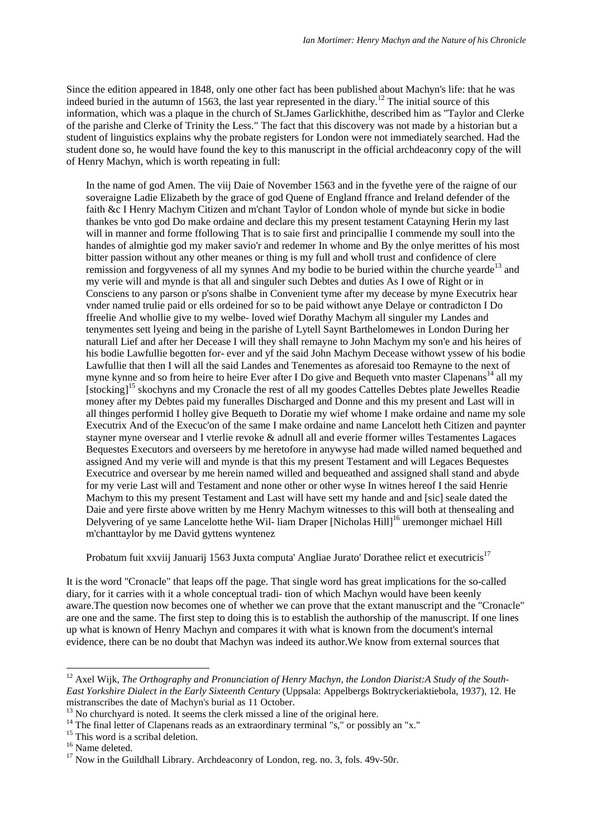Since the edition appeared in 1848, only one other fact has been published about Machyn's life: that he was indeed buried in the autumn of 1563, the last year represented in the diary.<sup>12</sup> The initial source of this information, which was a plaque in the church of St.James Garlickhithe, described him as "Taylor and Clerke of the parishe and Clerke of Trinity the Less." The fact that this discovery was not made by a historian but a student of linguistics explains why the probate registers for London were not immediately searched. Had the student done so, he would have found the key to this manuscript in the official archdeaconry copy of the will of Henry Machyn, which is worth repeating in full:

In the name of god Amen. The viij Daie of November 1563 and in the fyvethe yere of the raigne of our soveraigne Ladie Elizabeth by the grace of god Quene of England ffrance and Ireland defender of the faith &c I Henry Machym Citizen and m'chant Taylor of London whole of mynde but sicke in bodie thankes be vnto god Do make ordaine and declare this my present testament Catayning Herin my last will in manner and forme ffollowing That is to saie first and principallie I commende my soull into the handes of almightie god my maker savio'r and redemer In whome and By the onlye merittes of his most bitter passion without any other meanes or thing is my full and wholl trust and confidence of clere remission and forgyveness of all my synnes And my bodie to be buried within the churche yearde<sup>13</sup> and my verie will and mynde is that all and singuler such Debtes and duties As I owe of Right or in Consciens to any parson or p'sons shalbe in Convenient tyme after my decease by myne Executrix hear vnder named trulie paid or ells ordeined for so to be paid withowt anye Delaye or contradicton I Do ffreelie And whollie give to my welbe- loved wief Dorathy Machym all singuler my Landes and tenymentes sett lyeing and being in the parishe of Lytell Saynt Barthelomewes in London During her naturall Lief and after her Decease I will they shall remayne to John Machym my son'e and his heires of his bodie Lawfullie begotten for- ever and yf the said John Machym Decease withowt yssew of his bodie Lawfullie that then I will all the said Landes and Tenementes as aforesaid too Remayne to the next of myne kynne and so from heire to heire Ever after I Do give and Bequeth vnto master Clapenans<sup>14</sup> all my [stocking]<sup>15</sup> skochyns and my Cronacle the rest of all my goodes Cattelles Debtes plate Jewelles Readie money after my Debtes paid my funeralles Discharged and Donne and this my present and Last will in all thinges performid I holley give Bequeth to Doratie my wief whome I make ordaine and name my sole Executrix And of the Execuc'on of the same I make ordaine and name Lancelott heth Citizen and paynter stayner myne oversear and I vterlie revoke & adnull all and everie fformer willes Testamentes Lagaces Bequestes Executors and overseers by me heretofore in anywyse had made willed named bequethed and assigned And my verie will and mynde is that this my present Testament and will Legaces Bequestes Executrice and oversear by me herein named willed and bequeathed and assigned shall stand and abyde for my verie Last will and Testament and none other or other wyse In witnes hereof I the said Henrie Machym to this my present Testament and Last will have sett my hande and and [sic] seale dated the Daie and yere firste above written by me Henry Machym witnesses to this will both at thensealing and Delyvering of ye same Lancelotte hethe Wil- liam Draper [Nicholas Hill]<sup>16</sup> uremonger michael Hill m'chanttaylor by me David gyttens wyntenez

Probatum fuit xxviij Januarij 1563 Juxta computa' Angliae Jurato' Dorathee relict et executricis<sup>17</sup>

It is the word "Cronacle" that leaps off the page. That single word has great implications for the so-called diary, for it carries with it a whole conceptual tradi- tion of which Machyn would have been keenly aware.The question now becomes one of whether we can prove that the extant manuscript and the "Cronacle" are one and the same. The first step to doing this is to establish the authorship of the manuscript. If one lines up what is known of Henry Machyn and compares it with what is known from the document's internal evidence, there can be no doubt that Machyn was indeed its author.We know from external sources that

<sup>&</sup>lt;sup>12</sup> Axel Wijk, *The Orthography and Pronunciation of Henry Machyn, the London Diarist:A Study of the South-East Yorkshire Dialect in the Early Sixteenth Century* (Uppsala: Appelbergs Boktryckeriaktiebola, 1937), 12. He mistranscribes the date of Machyn's burial as 11 October.

 $13$  No churchyard is noted. It seems the clerk missed a line of the original here.

<sup>&</sup>lt;sup>14</sup> The final letter of Clapenans reads as an extraordinary terminal "s," or possibly an "x."

 $15$  This word is a scribal deletion.

<sup>&</sup>lt;sup>16</sup> Name deleted.

<sup>&</sup>lt;sup>17</sup> Now in the Guildhall Library. Archdeaconry of London, reg. no. 3, fols. 49v-50r.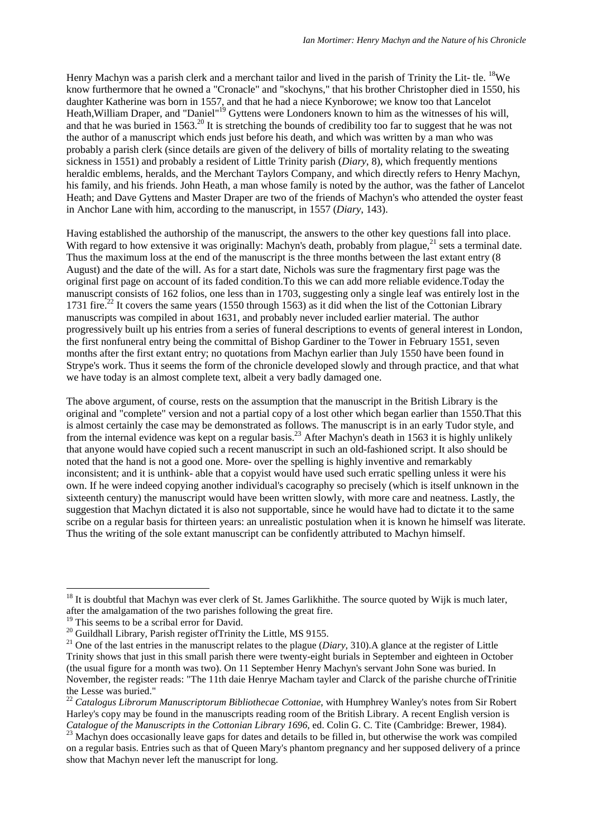Henry Machyn was a parish clerk and a merchant tailor and lived in the parish of Trinity the Lit- tle. <sup>18</sup>We know furthermore that he owned a "Cronacle" and "skochyns," that his brother Christopher died in 1550, his daughter Katherine was born in 1557, and that he had a niece Kynborowe; we know too that Lancelot Heath, William Draper, and "Daniel"<sup>19</sup> Gyttens were Londoners known to him as the witnesses of his will, and that he was buried in 1563.<sup>20</sup> It is stretching the bounds of credibility too far to suggest that he was not the author of a manuscript which ends just before his death, and which was written by a man who was probably a parish clerk (since details are given of the delivery of bills of mortality relating to the sweating sickness in 1551) and probably a resident of Little Trinity parish (*Diary*, 8), which frequently mentions heraldic emblems, heralds, and the Merchant Taylors Company, and which directly refers to Henry Machyn, his family, and his friends. John Heath, a man whose family is noted by the author, was the father of Lancelot Heath; and Dave Gyttens and Master Draper are two of the friends of Machyn's who attended the oyster feast in Anchor Lane with him, according to the manuscript, in 1557 (*Diary*, 143).

Having established the authorship of the manuscript, the answers to the other key questions fall into place. With regard to how extensive it was originally: Machyn's death, probably from plague,<sup>21</sup> sets a terminal date. Thus the maximum loss at the end of the manuscript is the three months between the last extant entry (8 August) and the date of the will. As for a start date, Nichols was sure the fragmentary first page was the original first page on account of its faded condition.To this we can add more reliable evidence.Today the manuscript consists of 162 folios, one less than in 1703, suggesting only a single leaf was entirely lost in the 1731 fire.<sup>22</sup> It covers the same years (1550 through 1563) as it did when the list of the Cottonian Library manuscripts was compiled in about 1631, and probably never included earlier material. The author progressively built up his entries from a series of funeral descriptions to events of general interest in London, the first nonfuneral entry being the committal of Bishop Gardiner to the Tower in February 1551, seven months after the first extant entry; no quotations from Machyn earlier than July 1550 have been found in Strype's work. Thus it seems the form of the chronicle developed slowly and through practice, and that what we have today is an almost complete text, albeit a very badly damaged one.

The above argument, of course, rests on the assumption that the manuscript in the British Library is the original and "complete" version and not a partial copy of a lost other which began earlier than 1550.That this is almost certainly the case may be demonstrated as follows. The manuscript is in an early Tudor style, and from the internal evidence was kept on a regular basis.<sup>23</sup> After Machyn's death in 1563 it is highly unlikely that anyone would have copied such a recent manuscript in such an old-fashioned script. It also should be noted that the hand is not a good one. More- over the spelling is highly inventive and remarkably inconsistent; and it is unthink- able that a copyist would have used such erratic spelling unless it were his own. If he were indeed copying another individual's cacography so precisely (which is itself unknown in the sixteenth century) the manuscript would have been written slowly, with more care and neatness. Lastly, the suggestion that Machyn dictated it is also not supportable, since he would have had to dictate it to the same scribe on a regular basis for thirteen years: an unrealistic postulation when it is known he himself was literate. Thus the writing of the sole extant manuscript can be confidently attributed to Machyn himself.

l

 $18$  It is doubtful that Machyn was ever clerk of St. James Garlikhithe. The source quoted by Wijk is much later, after the amalgamation of the two parishes following the great fire.

 $19$ <sup>19</sup> This seems to be a scribal error for David.

 $^{20}$  Guildhall Library, Parish register of Trinity the Little, MS 9155.

<sup>21</sup> One of the last entries in the manuscript relates to the plague (*Diary*, 310).A glance at the register of Little Trinity shows that just in this small parish there were twenty-eight burials in September and eighteen in October (the usual figure for a month was two). On 11 September Henry Machyn's servant John Sone was buried. In November, the register reads: "The 11th daie Henrye Macham tayler and Clarck of the parishe churche ofTrinitie the Lesse was buried."

<sup>22</sup> *Catalogus Librorum Manuscriptorum Bibliothecae Cottoniae*, with Humphrey Wanley's notes from Sir Robert Harley's copy may be found in the manuscripts reading room of the British Library. A recent English version is *Catalogue of the Manuscripts in the Cottonian Library 1696*, ed. Colin G. C. Tite (Cambridge: Brewer, 1984).

<sup>&</sup>lt;sup>23</sup> Machyn does occasionally leave gaps for dates and details to be filled in, but otherwise the work was compiled on a regular basis. Entries such as that of Queen Mary's phantom pregnancy and her supposed delivery of a prince show that Machyn never left the manuscript for long.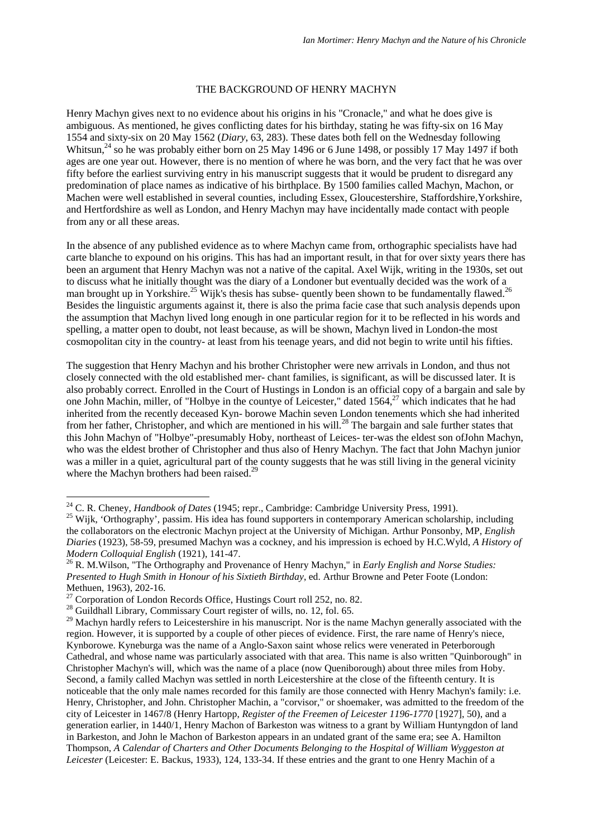## THE BACKGROUND OF HENRY MACHYN

Henry Machyn gives next to no evidence about his origins in his "Cronacle," and what he does give is ambiguous. As mentioned, he gives conflicting dates for his birthday, stating he was fifty-six on 16 May 1554 and sixty-six on 20 May 1562 (*Diary*, 63, 283). These dates both fell on the Wednesday following Whitsun,  $^{24}$  so he was probably either born on 25 May 1496 or 6 June 1498, or possibly 17 May 1497 if both ages are one year out. However, there is no mention of where he was born, and the very fact that he was over fifty before the earliest surviving entry in his manuscript suggests that it would be prudent to disregard any predomination of place names as indicative of his birthplace. By 1500 families called Machyn, Machon, or Machen were well established in several counties, including Essex, Gloucestershire, Staffordshire,Yorkshire, and Hertfordshire as well as London, and Henry Machyn may have incidentally made contact with people from any or all these areas.

In the absence of any published evidence as to where Machyn came from, orthographic specialists have had carte blanche to expound on his origins. This has had an important result, in that for over sixty years there has been an argument that Henry Machyn was not a native of the capital. Axel Wijk, writing in the 1930s, set out to discuss what he initially thought was the diary of a Londoner but eventually decided was the work of a man brought up in Yorkshire.<sup>25</sup> Wijk's thesis has subse- quently been shown to be fundamentally flawed.<sup>26</sup> Besides the linguistic arguments against it, there is also the prima facie case that such analysis depends upon the assumption that Machyn lived long enough in one particular region for it to be reflected in his words and spelling, a matter open to doubt, not least because, as will be shown, Machyn lived in London-the most cosmopolitan city in the country- at least from his teenage years, and did not begin to write until his fifties.

The suggestion that Henry Machyn and his brother Christopher were new arrivals in London, and thus not closely connected with the old established mer- chant families, is significant, as will be discussed later. It is also probably correct. Enrolled in the Court of Hustings in London is an official copy of a bargain and sale by one John Machin, miller, of "Holbye in the countye of Leicester," dated  $1564$ ,<sup>27</sup> which indicates that he had inherited from the recently deceased Kyn- borowe Machin seven London tenements which she had inherited from her father, Christopher, and which are mentioned in his will.<sup>28</sup> The bargain and sale further states that this John Machyn of "Holbye"-presumably Hoby, northeast of Leices- ter-was the eldest son ofJohn Machyn, who was the eldest brother of Christopher and thus also of Henry Machyn. The fact that John Machyn junior was a miller in a quiet, agricultural part of the county suggests that he was still living in the general vicinity where the Machyn brothers had been raised.<sup>29</sup>

<sup>&</sup>lt;sup>24</sup> C. R. Cheney, *Handbook of Dates* (1945; repr., Cambridge: Cambridge University Press, 1991).

<sup>&</sup>lt;sup>25</sup> Wijk, 'Orthography', passim. His idea has found supporters in contemporary American scholarship, including the collaborators on the electronic Machyn project at the University of Michigan. Arthur Ponsonby, MP, *English Diaries* (1923), 58-59, presumed Machyn was a cockney, and his impression is echoed by H.C.Wyld, *A History of Modern Colloquial English* (1921), 141-47.

<sup>26</sup> R. M.Wilson, "The Orthography and Provenance of Henry Machyn," in *Early English and Norse Studies: Presented to Hugh Smith in Honour of his Sixtieth Birthday*, ed. Arthur Browne and Peter Foote (London: Methuen, 1963), 202-16.

<sup>27</sup> Corporation of London Records Office, Hustings Court roll 252, no. 82.

<sup>&</sup>lt;sup>28</sup> Guildhall Library, Commissary Court register of wills, no. 12, fol. 65.

<sup>&</sup>lt;sup>29</sup> Machyn hardly refers to Leicestershire in his manuscript. Nor is the name Machyn generally associated with the region. However, it is supported by a couple of other pieces of evidence. First, the rare name of Henry's niece, Kynborowe. Kyneburga was the name of a Anglo-Saxon saint whose relics were venerated in Peterborough Cathedral, and whose name was particularly associated with that area. This name is also written "Quinborough" in Christopher Machyn's will, which was the name of a place (now Queniborough) about three miles from Hoby. Second, a family called Machyn was settled in north Leicestershire at the close of the fifteenth century. It is noticeable that the only male names recorded for this family are those connected with Henry Machyn's family: i.e. Henry, Christopher, and John. Christopher Machin, a "corvisor," or shoemaker, was admitted to the freedom of the city of Leicester in 1467/8 (Henry Hartopp, *Register of the Freemen of Leicester 1196-1770* [1927], 50), and a generation earlier, in 1440/1, Henry Machon of Barkeston was witness to a grant by William Huntyngdon of land in Barkeston, and John le Machon of Barkeston appears in an undated grant of the same era; see A. Hamilton Thompson, *A Calendar of Charters and Other Documents Belonging to the Hospital of William Wyggeston at Leicester* (Leicester: E. Backus, 1933), 124, 133-34. If these entries and the grant to one Henry Machin of a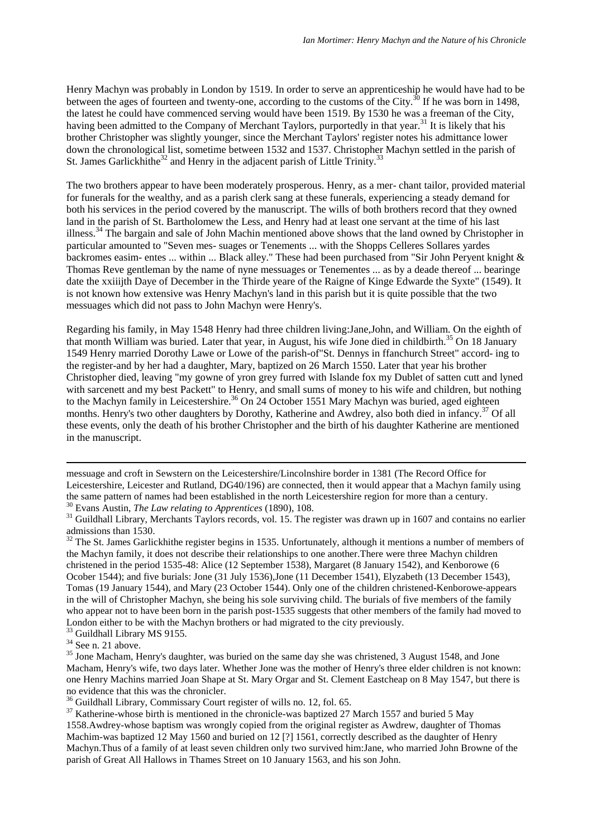Henry Machyn was probably in London by 1519. In order to serve an apprenticeship he would have had to be between the ages of fourteen and twenty-one, according to the customs of the City.<sup>30</sup> If he was born in 1498, the latest he could have commenced serving would have been 1519. By 1530 he was a freeman of the City, having been admitted to the Company of Merchant Taylors, purportedly in that year.<sup>31</sup> It is likely that his brother Christopher was slightly younger, since the Merchant Taylors' register notes his admittance lower down the chronological list, sometime between 1532 and 1537. Christopher Machyn settled in the parish of St. James Garlickhithe<sup>32</sup> and Henry in the adjacent parish of Little Trinity.<sup>33</sup>

The two brothers appear to have been moderately prosperous. Henry, as a mer- chant tailor, provided material for funerals for the wealthy, and as a parish clerk sang at these funerals, experiencing a steady demand for both his services in the period covered by the manuscript. The wills of both brothers record that they owned land in the parish of St. Bartholomew the Less, and Henry had at least one servant at the time of his last illness.<sup>34</sup> The bargain and sale of John Machin mentioned above shows that the land owned by Christopher in particular amounted to "Seven mes- suages or Tenements ... with the Shopps Celleres Sollares yardes backromes easim- entes ... within ... Black alley." These had been purchased from "Sir John Peryent knight & Thomas Reve gentleman by the name of nyne messuages or Tenementes ... as by a deade thereof ... bearinge date the xxiiijth Daye of December in the Thirde yeare of the Raigne of Kinge Edwarde the Syxte" (1549). It is not known how extensive was Henry Machyn's land in this parish but it is quite possible that the two messuages which did not pass to John Machyn were Henry's.

Regarding his family, in May 1548 Henry had three children living:Jane,John, and William. On the eighth of that month William was buried. Later that year, in August, his wife Jone died in childbirth.<sup>35</sup> On 18 January 1549 Henry married Dorothy Lawe or Lowe of the parish-of"St. Dennys in ffanchurch Street" accord- ing to the register-and by her had a daughter, Mary, baptized on 26 March 1550. Later that year his brother Christopher died, leaving "my gowne of yron grey furred with Islande fox my Dublet of satten cutt and lyned with sarcenett and my best Packett" to Henry, and small sums of money to his wife and children, but nothing to the Machyn family in Leicestershire.<sup>36</sup> On 24 October 1551 Mary Machyn was buried, aged eighteen months. Henry's two other daughters by Dorothy, Katherine and Awdrey, also both died in infancy.<sup>37</sup> Of all these events, only the death of his brother Christopher and the birth of his daughter Katherine are mentioned in the manuscript.

messuage and croft in Sewstern on the Leicestershire/Lincolnshire border in 1381 (The Record Office for Leicestershire, Leicester and Rutland, DG40/196) are connected, then it would appear that a Machyn family using the same pattern of names had been established in the north Leicestershire region for more than a century. <sup>30</sup> Evans Austin, *The Law relating to Apprentices* (1890), 108.

<sup>&</sup>lt;sup>31</sup> Guildhall Library, Merchants Taylors records, vol. 15. The register was drawn up in 1607 and contains no earlier admissions than 1530.

 $32$  The St. James Garlickhithe register begins in 1535. Unfortunately, although it mentions a number of members of the Machyn family, it does not describe their relationships to one another.There were three Machyn children christened in the period 1535-48: Alice (12 September 1538), Margaret (8 January 1542), and Kenborowe (6 Ocober 1544); and five burials: Jone (31 July 1536),Jone (11 December 1541), Elyzabeth (13 December 1543), Tomas (19 January 1544), and Mary (23 October 1544). Only one of the children christened-Kenborowe-appears in the will of Christopher Machyn, she being his sole surviving child. The burials of five members of the family who appear not to have been born in the parish post-1535 suggests that other members of the family had moved to London either to be with the Machyn brothers or had migrated to the city previously.

<sup>&</sup>lt;sup>33</sup> Guildhall Library MS 9155.

 $34$  See n. 21 above.

<sup>&</sup>lt;sup>35</sup> Jone Macham, Henry's daughter, was buried on the same day she was christened, 3 August 1548, and Jone Macham, Henry's wife, two days later. Whether Jone was the mother of Henry's three elder children is not known: one Henry Machins married Joan Shape at St. Mary Orgar and St. Clement Eastcheap on 8 May 1547, but there is no evidence that this was the chronicler.

<sup>&</sup>lt;sup>36</sup> Guildhall Library, Commissary Court register of wills no. 12, fol. 65.

<sup>&</sup>lt;sup>37</sup> Katherine-whose birth is mentioned in the chronicle-was baptized 27 March 1557 and buried 5 May 1558.Awdrey-whose baptism was wrongly copied from the original register as Awdrew, daughter of Thomas Machim-was baptized 12 May 1560 and buried on 12 [?] 1561, correctly described as the daughter of Henry Machyn.Thus of a family of at least seven children only two survived him:Jane, who married John Browne of the parish of Great All Hallows in Thames Street on 10 January 1563, and his son John.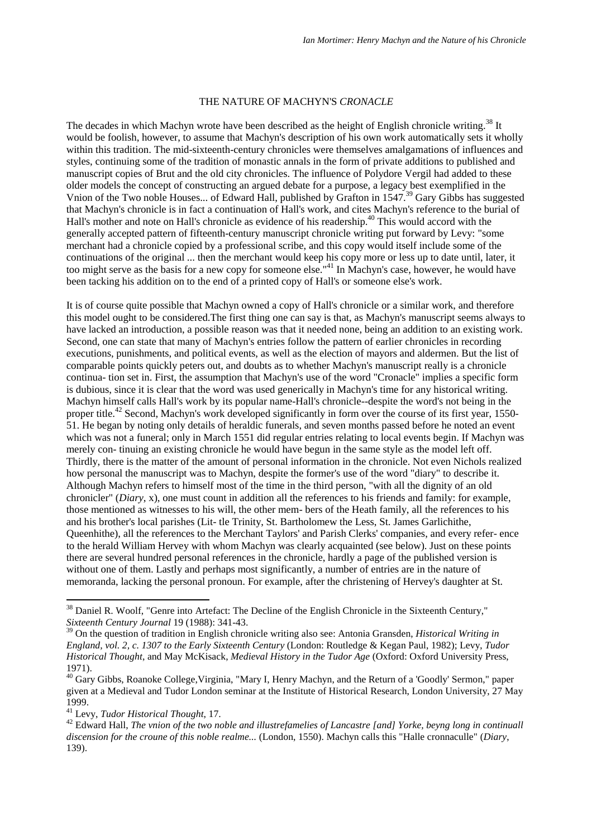## THE NATURE OF MACHYN'S *CRONACLE*

The decades in which Machyn wrote have been described as the height of English chronicle writing.<sup>38</sup> It would be foolish, however, to assume that Machyn's description of his own work automatically sets it wholly within this tradition. The mid-sixteenth-century chronicles were themselves amalgamations of influences and styles, continuing some of the tradition of monastic annals in the form of private additions to published and manuscript copies of Brut and the old city chronicles. The influence of Polydore Vergil had added to these older models the concept of constructing an argued debate for a purpose, a legacy best exemplified in the Vnion of the Two noble Houses... of Edward Hall, published by Grafton in 1547.<sup>39</sup> Gary Gibbs has suggested that Machyn's chronicle is in fact a continuation of Hall's work, and cites Machyn's reference to the burial of Hall's mother and note on Hall's chronicle as evidence of his readership.<sup>40</sup> This would accord with the generally accepted pattern of fifteenth-century manuscript chronicle writing put forward by Levy: "some merchant had a chronicle copied by a professional scribe, and this copy would itself include some of the continuations of the original ... then the merchant would keep his copy more or less up to date until, later, it too might serve as the basis for a new copy for someone else."<sup>41</sup> In Machyn's case, however, he would have been tacking his addition on to the end of a printed copy of Hall's or someone else's work.

It is of course quite possible that Machyn owned a copy of Hall's chronicle or a similar work, and therefore this model ought to be considered.The first thing one can say is that, as Machyn's manuscript seems always to have lacked an introduction, a possible reason was that it needed none, being an addition to an existing work. Second, one can state that many of Machyn's entries follow the pattern of earlier chronicles in recording executions, punishments, and political events, as well as the election of mayors and aldermen. But the list of comparable points quickly peters out, and doubts as to whether Machyn's manuscript really is a chronicle continua- tion set in. First, the assumption that Machyn's use of the word "Cronacle" implies a specific form is dubious, since it is clear that the word was used generically in Machyn's time for any historical writing. Machyn himself calls Hall's work by its popular name-Hall's chronicle--despite the word's not being in the proper title.<sup>42</sup> Second, Machyn's work developed significantly in form over the course of its first year, 1550-51. He began by noting only details of heraldic funerals, and seven months passed before he noted an event which was not a funeral; only in March 1551 did regular entries relating to local events begin. If Machyn was merely con- tinuing an existing chronicle he would have begun in the same style as the model left off. Thirdly, there is the matter of the amount of personal information in the chronicle. Not even Nichols realized how personal the manuscript was to Machyn, despite the former's use of the word "diary" to describe it. Although Machyn refers to himself most of the time in the third person, "with all the dignity of an old chronicler" (*Diary*, x), one must count in addition all the references to his friends and family: for example, those mentioned as witnesses to his will, the other mem- bers of the Heath family, all the references to his and his brother's local parishes (Lit- tle Trinity, St. Bartholomew the Less, St. James Garlichithe, Queenhithe), all the references to the Merchant Taylors' and Parish Clerks' companies, and every refer- ence to the herald William Hervey with whom Machyn was clearly acquainted (see below). Just on these points there are several hundred personal references in the chronicle, hardly a page of the published version is without one of them. Lastly and perhaps most significantly, a number of entries are in the nature of memoranda, lacking the personal pronoun. For example, after the christening of Hervey's daughter at St.

<sup>&</sup>lt;sup>38</sup> Daniel R. Woolf, "Genre into Artefact: The Decline of the English Chronicle in the Sixteenth Century," *Sixteenth Century Journal* 19 (1988): 341-43.

<sup>39</sup> On the question of tradition in English chronicle writing also see: Antonia Gransden, *Historical Writing in England, vol. 2, c. 1307 to the Early Sixteenth Century* (London: Routledge & Kegan Paul, 1982); Levy, *Tudor Historical Thought*, and May McKisack, *Medieval History in the Tudor Age* (Oxford: Oxford University Press, 1971).

<sup>&</sup>lt;sup>40</sup> Gary Gibbs, Roanoke College, Virginia, "Mary I, Henry Machyn, and the Return of a 'Goodly' Sermon," paper given at a Medieval and Tudor London seminar at the Institute of Historical Research, London University, 27 May 1999.

<sup>41</sup> Levy, *Tudor Historical Thought*, 17.

<sup>42</sup> Edward Hall, *The vnion of the two noble and illustrefamelies of Lancastre [and] Yorke, beyng long in continuall discension for the croune of this noble realme...* (London, 1550). Machyn calls this "Halle cronnaculle" (*Diary*, 139).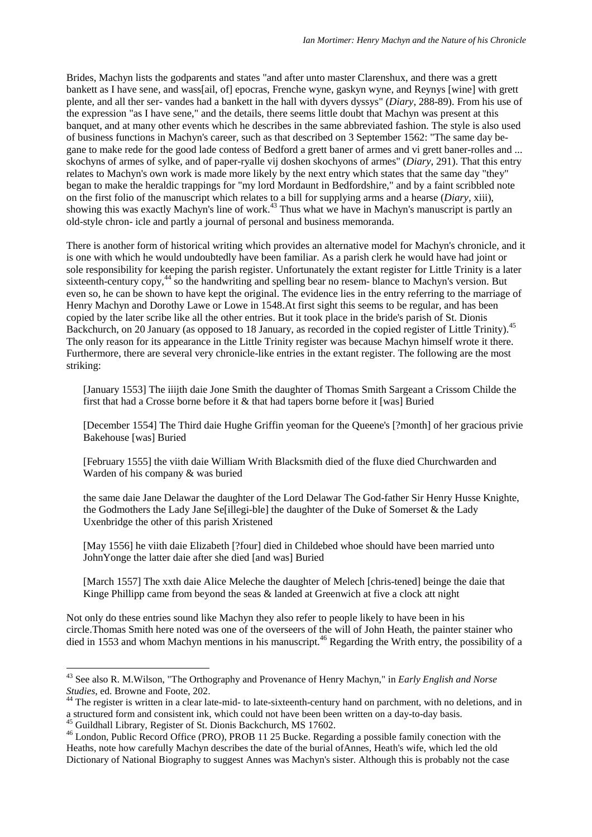Brides, Machyn lists the godparents and states "and after unto master Clarenshux, and there was a grett bankett as I have sene, and wass[ail, of] epocras, Frenche wyne, gaskyn wyne, and Reynys [wine] with grett plente, and all ther ser- vandes had a bankett in the hall with dyvers dyssys" (*Diary*, 288-89). From his use of the expression "as I have sene," and the details, there seems little doubt that Machyn was present at this banquet, and at many other events which he describes in the same abbreviated fashion. The style is also used of business functions in Machyn's career, such as that described on 3 September 1562: "The same day begane to make rede for the good lade contess of Bedford a grett baner of armes and vi grett baner-rolles and ... skochyns of armes of sylke, and of paper-ryalle vij doshen skochyons of armes" (*Diary*, 291). That this entry relates to Machyn's own work is made more likely by the next entry which states that the same day "they" began to make the heraldic trappings for "my lord Mordaunt in Bedfordshire," and by a faint scribbled note on the first folio of the manuscript which relates to a bill for supplying arms and a hearse (*Diary*, xiii), showing this was exactly Machyn's line of work.<sup>43</sup> Thus what we have in Machyn's manuscript is partly an showing this was exactly Machyn's line of work.<sup>43</sup> Thus what we have in Machyn's manuscript is partly an old-style chron- icle and partly a journal of personal and business memoranda.

There is another form of historical writing which provides an alternative model for Machyn's chronicle, and it is one with which he would undoubtedly have been familiar. As a parish clerk he would have had joint or sole responsibility for keeping the parish register. Unfortunately the extant register for Little Trinity is a later sixteenth-century copy,<sup>44</sup> so the handwriting and spelling bear no resem- blance to Machyn's version. But even so, he can be shown to have kept the original. The evidence lies in the entry referring to the marriage of Henry Machyn and Dorothy Lawe or Lowe in 1548.At first sight this seems to be regular, and has been copied by the later scribe like all the other entries. But it took place in the bride's parish of St. Dionis Backchurch, on 20 January (as opposed to 18 January, as recorded in the copied register of Little Trinity).<sup>45</sup> The only reason for its appearance in the Little Trinity register was because Machyn himself wrote it there. Furthermore, there are several very chronicle-like entries in the extant register. The following are the most striking:

[January 1553] The iiijth daie Jone Smith the daughter of Thomas Smith Sargeant a Crissom Childe the first that had a Crosse borne before it & that had tapers borne before it [was] Buried

[December 1554] The Third daie Hughe Griffin yeoman for the Queene's [?month] of her gracious privie Bakehouse [was] Buried

[February 1555] the viith daie William Writh Blacksmith died of the fluxe died Churchwarden and Warden of his company & was buried

the same daie Jane Delawar the daughter of the Lord Delawar The God-father Sir Henry Husse Knighte, the Godmothers the Lady Jane Se[illegi-ble] the daughter of the Duke of Somerset & the Lady Uxenbridge the other of this parish Xristened

[May 1556] he viith daie Elizabeth [?four] died in Childebed whoe should have been married unto JohnYonge the latter daie after she died [and was] Buried

[March 1557] The xxth daie Alice Meleche the daughter of Melech [chris-tened] beinge the daie that Kinge Phillipp came from beyond the seas  $\&$  landed at Greenwich at five a clock att night

Not only do these entries sound like Machyn they also refer to people likely to have been in his circle.Thomas Smith here noted was one of the overseers of the will of John Heath, the painter stainer who died in 1553 and whom Machyn mentions in his manuscript.<sup>46</sup> Regarding the Writh entry, the possibility of a

<sup>43</sup> See also R. M.Wilson, "The Orthography and Provenance of Henry Machyn," in *Early English and Norse Studies*, ed. Browne and Foote, 202.

<sup>&</sup>lt;sup>44</sup> The register is written in a clear late-mid- to late-sixteenth-century hand on parchment, with no deletions, and in a structured form and consistent ink, which could not have been been written on a day-to-day basis.

<sup>45</sup> Guildhall Library, Register of St. Dionis Backchurch, MS 17602.

<sup>46</sup> London, Public Record Office (PRO), PROB 11 25 Bucke. Regarding a possible family conection with the Heaths, note how carefully Machyn describes the date of the burial ofAnnes, Heath's wife, which led the old Dictionary of National Biography to suggest Annes was Machyn's sister. Although this is probably not the case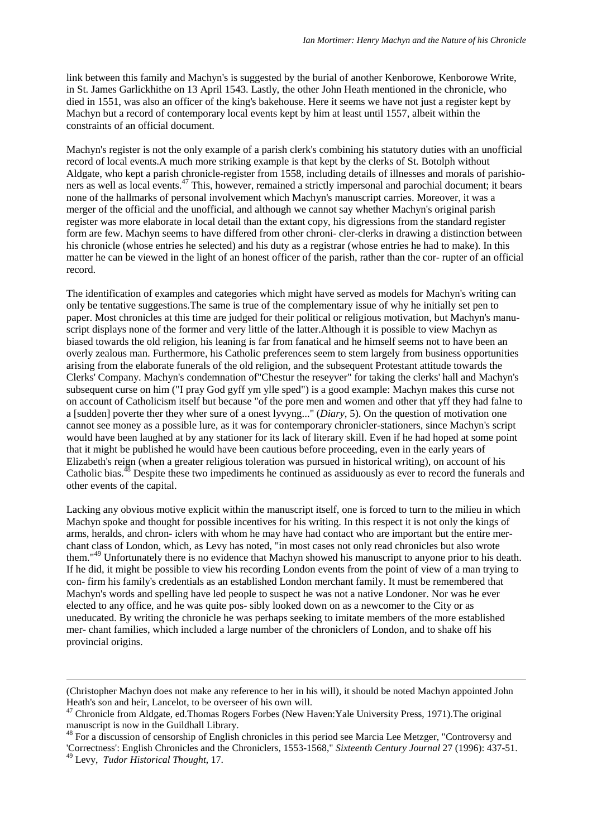link between this family and Machyn's is suggested by the burial of another Kenborowe, Kenborowe Write, in St. James Garlickhithe on 13 April 1543. Lastly, the other John Heath mentioned in the chronicle, who died in 1551, was also an officer of the king's bakehouse. Here it seems we have not just a register kept by Machyn but a record of contemporary local events kept by him at least until 1557, albeit within the constraints of an official document.

Machyn's register is not the only example of a parish clerk's combining his statutory duties with an unofficial record of local events.A much more striking example is that kept by the clerks of St. Botolph without Aldgate, who kept a parish chronicle-register from 1558, including details of illnesses and morals of parishioners as well as local events.<sup>47</sup> This, however, remained a strictly impersonal and parochial document; it bears none of the hallmarks of personal involvement which Machyn's manuscript carries. Moreover, it was a merger of the official and the unofficial, and although we cannot say whether Machyn's original parish register was more elaborate in local detail than the extant copy, his digressions from the standard register form are few. Machyn seems to have differed from other chroni- cler-clerks in drawing a distinction between his chronicle (whose entries he selected) and his duty as a registrar (whose entries he had to make). In this matter he can be viewed in the light of an honest officer of the parish, rather than the cor- rupter of an official record.

The identification of examples and categories which might have served as models for Machyn's writing can only be tentative suggestions.The same is true of the complementary issue of why he initially set pen to paper. Most chronicles at this time are judged for their political or religious motivation, but Machyn's manuscript displays none of the former and very little of the latter.Although it is possible to view Machyn as biased towards the old religion, his leaning is far from fanatical and he himself seems not to have been an overly zealous man. Furthermore, his Catholic preferences seem to stem largely from business opportunities arising from the elaborate funerals of the old religion, and the subsequent Protestant attitude towards the Clerks' Company. Machyn's condemnation of"Chestur the reseyver" for taking the clerks' hall and Machyn's subsequent curse on him ("I pray God gyff ym ylle sped") is a good example: Machyn makes this curse not on account of Catholicism itself but because "of the pore men and women and other that yff they had falne to a [sudden] poverte ther they wher sure of a onest lyvyng..." (*Diary*, 5). On the question of motivation one cannot see money as a possible lure, as it was for contemporary chronicler-stationers, since Machyn's script would have been laughed at by any stationer for its lack of literary skill. Even if he had hoped at some point that it might be published he would have been cautious before proceeding, even in the early years of Elizabeth's reign (when a greater religious toleration was pursued in historical writing), on account of his Catholic bias.<sup>48</sup> Despite these two impediments he continued as assiduously as ever to record the funerals and other events of the capital.

Lacking any obvious motive explicit within the manuscript itself, one is forced to turn to the milieu in which Machyn spoke and thought for possible incentives for his writing. In this respect it is not only the kings of arms, heralds, and chron- iclers with whom he may have had contact who are important but the entire merchant class of London, which, as Levy has noted, "in most cases not only read chronicles but also wrote them."<sup>49</sup> Unfortunately there is no evidence that Machyn showed his manuscript to anyone prior to his death. If he did, it might be possible to view his recording London events from the point of view of a man trying to con- firm his family's credentials as an established London merchant family. It must be remembered that Machyn's words and spelling have led people to suspect he was not a native Londoner. Nor was he ever elected to any office, and he was quite pos- sibly looked down on as a newcomer to the City or as uneducated. By writing the chronicle he was perhaps seeking to imitate members of the more established mer- chant families, which included a large number of the chroniclers of London, and to shake off his provincial origins.

<sup>(</sup>Christopher Machyn does not make any reference to her in his will), it should be noted Machyn appointed John Heath's son and heir, Lancelot, to be overseer of his own will.

<sup>&</sup>lt;sup>47</sup> Chronicle from Aldgate, ed.Thomas Rogers Forbes (New Haven: Yale University Press, 1971). The original manuscript is now in the Guildhall Library.

<sup>&</sup>lt;sup>48</sup> For a discussion of censorship of English chronicles in this period see Marcia Lee Metzger, "Controversy and 'Correctness': English Chronicles and the Chroniclers, 1553-1568," *Sixteenth Century Journal* 27 (1996): 437-51.

<sup>49</sup> Levy, *Tudor Historical Thought*, 17.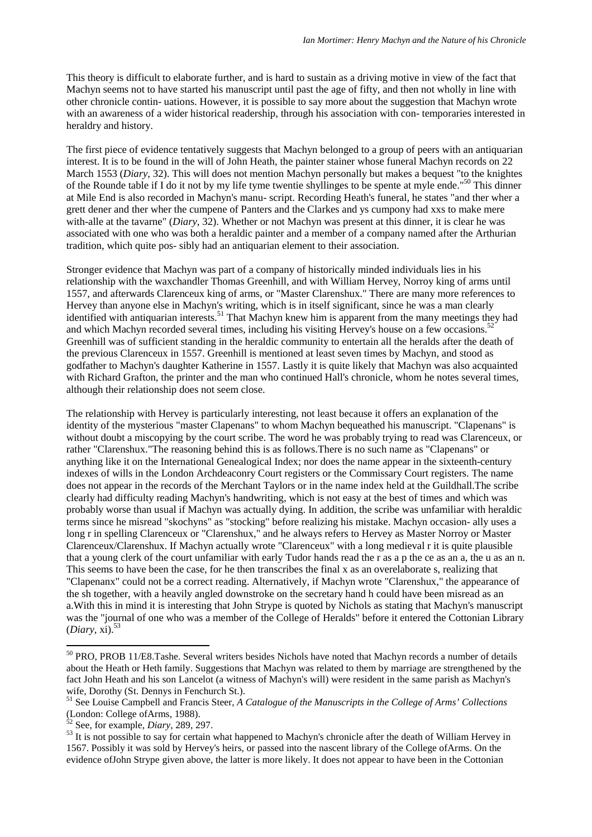This theory is difficult to elaborate further, and is hard to sustain as a driving motive in view of the fact that Machyn seems not to have started his manuscript until past the age of fifty, and then not wholly in line with other chronicle contin- uations. However, it is possible to say more about the suggestion that Machyn wrote with an awareness of a wider historical readership, through his association with con- temporaries interested in heraldry and history.

The first piece of evidence tentatively suggests that Machyn belonged to a group of peers with an antiquarian interest. It is to be found in the will of John Heath, the painter stainer whose funeral Machyn records on 22 March 1553 (*Diary*, 32). This will does not mention Machyn personally but makes a bequest "to the knightes of the Rounde table if I do it not by my life tyme twentie shyllinges to be spente at myle ende."<sup>50</sup> This dinner at Mile End is also recorded in Machyn's manu- script. Recording Heath's funeral, he states "and ther wher a grett dener and ther wher the cumpene of Panters and the Clarkes and ys cumpony had xxs to make mere with-alle at the tavarne" (*Diary*, 32). Whether or not Machyn was present at this dinner, it is clear he was associated with one who was both a heraldic painter and a member of a company named after the Arthurian tradition, which quite pos- sibly had an antiquarian element to their association.

Stronger evidence that Machyn was part of a company of historically minded individuals lies in his relationship with the waxchandler Thomas Greenhill, and with William Hervey, Norroy king of arms until 1557, and afterwards Clarenceux king of arms, or "Master Clarenshux." There are many more references to Hervey than anyone else in Machyn's writing, which is in itself significant, since he was a man clearly identified with antiquarian interests.<sup>51</sup> That Machyn knew him is apparent from the many meetings they had and which Machyn recorded several times, including his visiting Hervey's house on a few occasions.<sup>52</sup> Greenhill was of sufficient standing in the heraldic community to entertain all the heralds after the death of the previous Clarenceux in 1557. Greenhill is mentioned at least seven times by Machyn, and stood as godfather to Machyn's daughter Katherine in 1557. Lastly it is quite likely that Machyn was also acquainted with Richard Grafton, the printer and the man who continued Hall's chronicle, whom he notes several times, although their relationship does not seem close.

The relationship with Hervey is particularly interesting, not least because it offers an explanation of the identity of the mysterious "master Clapenans" to whom Machyn bequeathed his manuscript. "Clapenans" is without doubt a miscopying by the court scribe. The word he was probably trying to read was Clarenceux, or rather "Clarenshux."The reasoning behind this is as follows.There is no such name as "Clapenans" or anything like it on the International Genealogical Index; nor does the name appear in the sixteenth-century indexes of wills in the London Archdeaconry Court registers or the Commissary Court registers. The name does not appear in the records of the Merchant Taylors or in the name index held at the Guildhall.The scribe clearly had difficulty reading Machyn's handwriting, which is not easy at the best of times and which was probably worse than usual if Machyn was actually dying. In addition, the scribe was unfamiliar with heraldic terms since he misread "skochyns" as "stocking" before realizing his mistake. Machyn occasion- ally uses a long r in spelling Clarenceux or "Clarenshux," and he always refers to Hervey as Master Norroy or Master Clarenceux/Clarenshux. If Machyn actually wrote "Clarenceux" with a long medieval r it is quite plausible that a young clerk of the court unfamiliar with early Tudor hands read the r as a p the ce as an a, the u as an n. This seems to have been the case, for he then transcribes the final x as an overelaborate s, realizing that "Clapenanx" could not be a correct reading. Alternatively, if Machyn wrote "Clarenshux," the appearance of the sh together, with a heavily angled downstroke on the secretary hand h could have been misread as an a.With this in mind it is interesting that John Strype is quoted by Nichols as stating that Machyn's manuscript was the "journal of one who was a member of the College of Heralds" before it entered the Cottonian Library  $(Diary, xi)$ .<sup>53</sup>

<sup>50</sup> PRO, PROB 11/E8.Tashe. Several writers besides Nichols have noted that Machyn records a number of details about the Heath or Heth family. Suggestions that Machyn was related to them by marriage are strengthened by the fact John Heath and his son Lancelot (a witness of Machyn's will) were resident in the same parish as Machyn's wife, Dorothy (St. Dennys in Fenchurch St.).

<sup>51</sup> See Louise Campbell and Francis Steer, *A Catalogue of the Manuscripts in the College of Arms' Collections* (London: College ofArms, 1988).

<sup>52</sup> See, for example, *Diary*, 289, 297.

<sup>&</sup>lt;sup>53</sup> It is not possible to say for certain what happened to Machyn's chronicle after the death of William Hervey in 1567. Possibly it was sold by Hervey's heirs, or passed into the nascent library of the College ofArms. On the evidence ofJohn Strype given above, the latter is more likely. It does not appear to have been in the Cottonian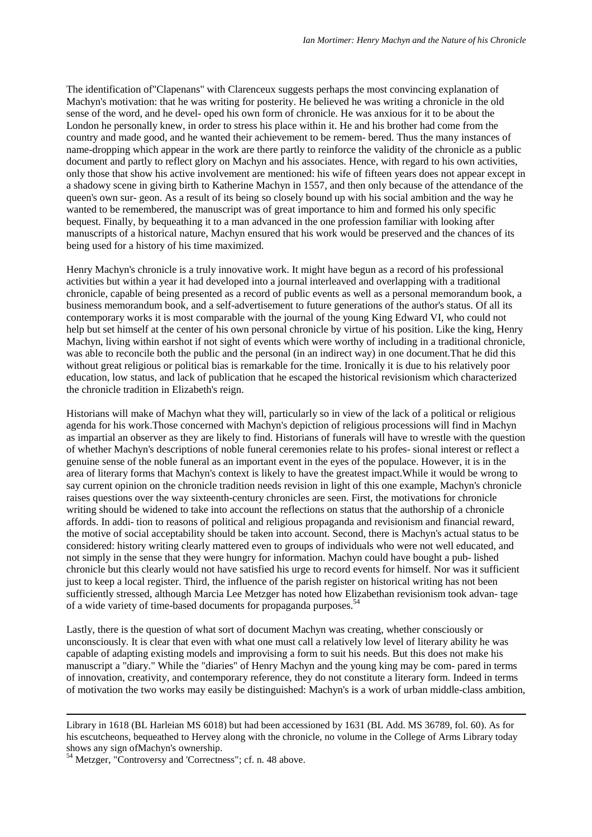The identification of"Clapenans" with Clarenceux suggests perhaps the most convincing explanation of Machyn's motivation: that he was writing for posterity. He believed he was writing a chronicle in the old sense of the word, and he devel- oped his own form of chronicle. He was anxious for it to be about the London he personally knew, in order to stress his place within it. He and his brother had come from the country and made good, and he wanted their achievement to be remem- bered. Thus the many instances of name-dropping which appear in the work are there partly to reinforce the validity of the chronicle as a public document and partly to reflect glory on Machyn and his associates. Hence, with regard to his own activities, only those that show his active involvement are mentioned: his wife of fifteen years does not appear except in a shadowy scene in giving birth to Katherine Machyn in 1557, and then only because of the attendance of the queen's own sur- geon. As a result of its being so closely bound up with his social ambition and the way he wanted to be remembered, the manuscript was of great importance to him and formed his only specific bequest. Finally, by bequeathing it to a man advanced in the one profession familiar with looking after manuscripts of a historical nature, Machyn ensured that his work would be preserved and the chances of its being used for a history of his time maximized.

Henry Machyn's chronicle is a truly innovative work. It might have begun as a record of his professional activities but within a year it had developed into a journal interleaved and overlapping with a traditional chronicle, capable of being presented as a record of public events as well as a personal memorandum book, a business memorandum book, and a self-advertisement to future generations of the author's status. Of all its contemporary works it is most comparable with the journal of the young King Edward VI, who could not help but set himself at the center of his own personal chronicle by virtue of his position. Like the king, Henry Machyn, living within earshot if not sight of events which were worthy of including in a traditional chronicle, was able to reconcile both the public and the personal (in an indirect way) in one document.That he did this without great religious or political bias is remarkable for the time. Ironically it is due to his relatively poor education, low status, and lack of publication that he escaped the historical revisionism which characterized the chronicle tradition in Elizabeth's reign.

Historians will make of Machyn what they will, particularly so in view of the lack of a political or religious agenda for his work.Those concerned with Machyn's depiction of religious processions will find in Machyn as impartial an observer as they are likely to find. Historians of funerals will have to wrestle with the question of whether Machyn's descriptions of noble funeral ceremonies relate to his profes- sional interest or reflect a genuine sense of the noble funeral as an important event in the eyes of the populace. However, it is in the area of literary forms that Machyn's context is likely to have the greatest impact.While it would be wrong to say current opinion on the chronicle tradition needs revision in light of this one example, Machyn's chronicle raises questions over the way sixteenth-century chronicles are seen. First, the motivations for chronicle writing should be widened to take into account the reflections on status that the authorship of a chronicle affords. In addi- tion to reasons of political and religious propaganda and revisionism and financial reward, the motive of social acceptability should be taken into account. Second, there is Machyn's actual status to be considered: history writing clearly mattered even to groups of individuals who were not well educated, and not simply in the sense that they were hungry for information. Machyn could have bought a pub- lished chronicle but this clearly would not have satisfied his urge to record events for himself. Nor was it sufficient just to keep a local register. Third, the influence of the parish register on historical writing has not been sufficiently stressed, although Marcia Lee Metzger has noted how Elizabethan revisionism took advan- tage of a wide variety of time-based documents for propaganda purposes.<sup>54</sup>

Lastly, there is the question of what sort of document Machyn was creating, whether consciously or unconsciously. It is clear that even with what one must call a relatively low level of literary ability he was capable of adapting existing models and improvising a form to suit his needs. But this does not make his manuscript a "diary." While the "diaries" of Henry Machyn and the young king may be com- pared in terms of innovation, creativity, and contemporary reference, they do not constitute a literary form. Indeed in terms of motivation the two works may easily be distinguished: Machyn's is a work of urban middle-class ambition,

Library in 1618 (BL Harleian MS 6018) but had been accessioned by 1631 (BL Add. MS 36789, fol. 60). As for his escutcheons, bequeathed to Hervey along with the chronicle, no volume in the College of Arms Library today shows any sign ofMachyn's ownership.

<sup>&</sup>lt;sup>54</sup> Metzger, "Controversy and 'Correctness"; cf. n. 48 above.